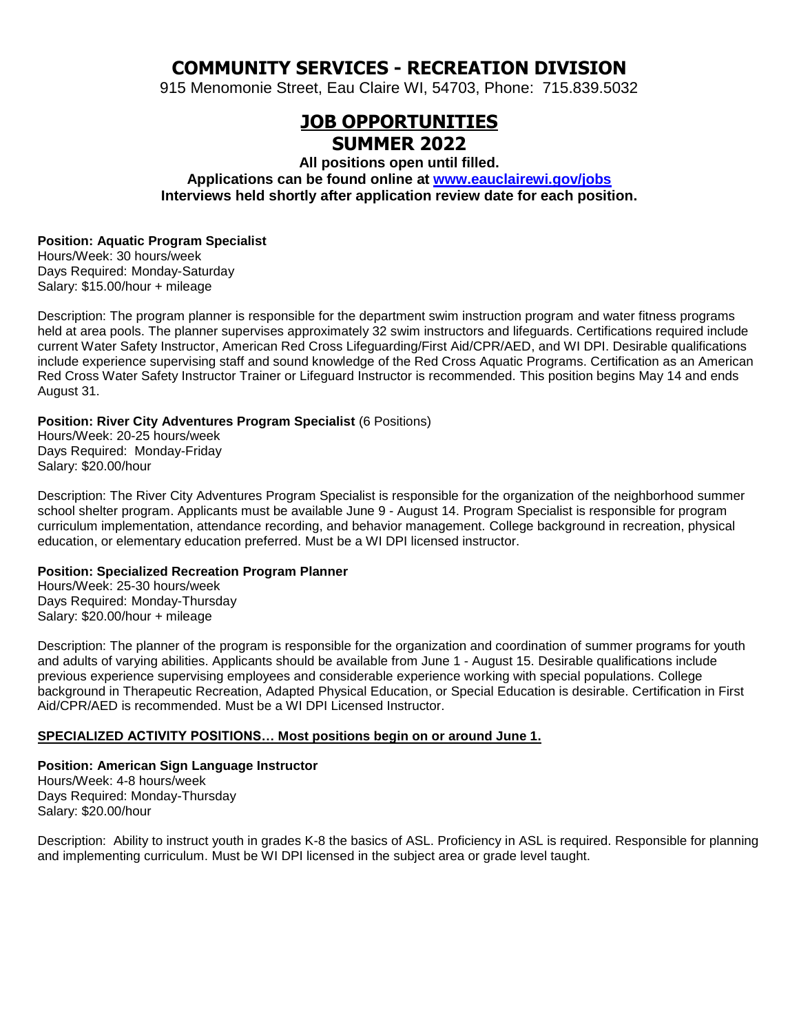# **COMMUNITY SERVICES - RECREATION DIVISION**

915 Menomonie Street, Eau Claire WI, 54703, Phone: 715.839.5032

# **JOB OPPORTUNITIES SUMMER 2022**

**All positions open until filled. Applications can be found online at [www.eauclairewi.gov/jobs](http://www.eauclairewi.gov/jobs) Interviews held shortly after application review date for each position.**

# **Position: Aquatic Program Specialist**

Hours/Week: 30 hours/week Days Required: Monday-Saturday Salary: \$15.00/hour + mileage

Description: The program planner is responsible for the department swim instruction program and water fitness programs held at area pools. The planner supervises approximately 32 swim instructors and lifeguards. Certifications required include current Water Safety Instructor, American Red Cross Lifeguarding/First Aid/CPR/AED, and WI DPI. Desirable qualifications include experience supervising staff and sound knowledge of the Red Cross Aquatic Programs. Certification as an American Red Cross Water Safety Instructor Trainer or Lifeguard Instructor is recommended. This position begins May 14 and ends August 31.

## **Position: River City Adventures Program Specialist** (6 Positions)

Hours/Week: 20-25 hours/week Days Required: Monday-Friday Salary: \$20.00/hour

Description: The River City Adventures Program Specialist is responsible for the organization of the neighborhood summer school shelter program. Applicants must be available June 9 - August 14. Program Specialist is responsible for program curriculum implementation, attendance recording, and behavior management. College background in recreation, physical education, or elementary education preferred. Must be a WI DPI licensed instructor.

## **Position: Specialized Recreation Program Planner**

Hours/Week: 25-30 hours/week Days Required: Monday-Thursday Salary: \$20.00/hour + mileage

Description: The planner of the program is responsible for the organization and coordination of summer programs for youth and adults of varying abilities. Applicants should be available from June 1 - August 15. Desirable qualifications include previous experience supervising employees and considerable experience working with special populations. College background in Therapeutic Recreation, Adapted Physical Education, or Special Education is desirable. Certification in First Aid/CPR/AED is recommended. Must be a WI DPI Licensed Instructor.

# **SPECIALIZED ACTIVITY POSITIONS… Most positions begin on or around June 1.**

**Position: American Sign Language Instructor** Hours/Week: 4-8 hours/week Days Required: Monday-Thursday Salary: \$20.00/hour

Description: Ability to instruct youth in grades K-8 the basics of ASL. Proficiency in ASL is required. Responsible for planning and implementing curriculum. Must be WI DPI licensed in the subject area or grade level taught.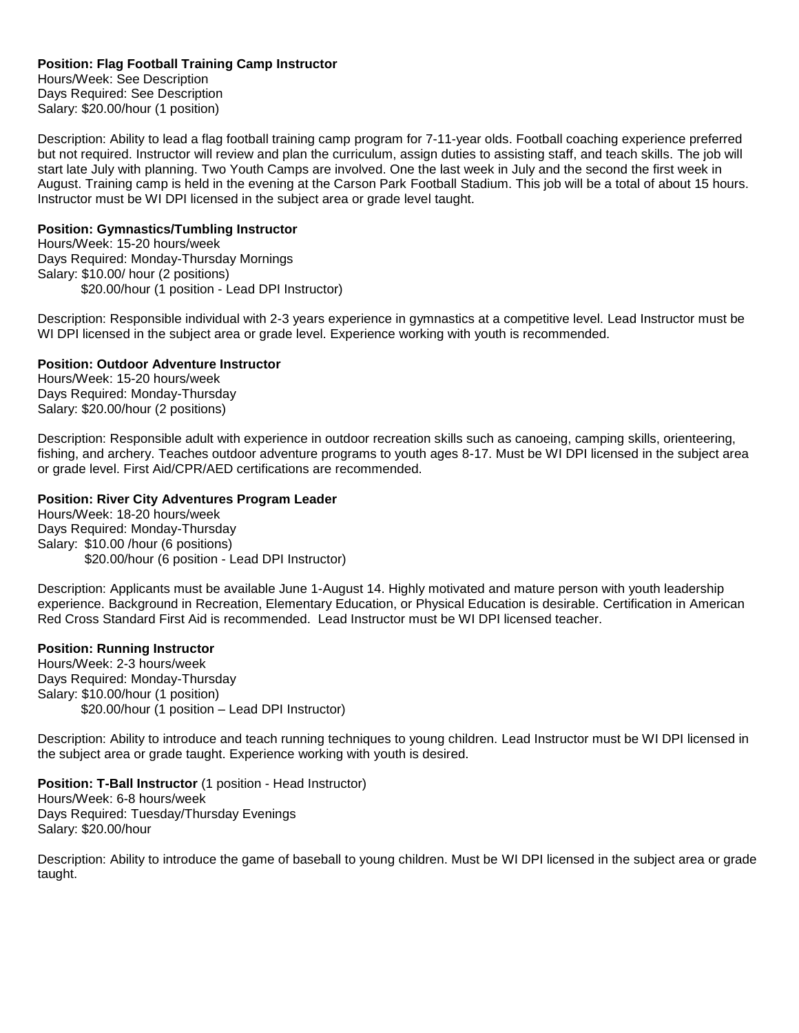### **Position: Flag Football Training Camp Instructor**

Hours/Week: See Description Days Required: See Description Salary: \$20.00/hour (1 position)

Description: Ability to lead a flag football training camp program for 7-11-year olds. Football coaching experience preferred but not required. Instructor will review and plan the curriculum, assign duties to assisting staff, and teach skills. The job will start late July with planning. Two Youth Camps are involved. One the last week in July and the second the first week in August. Training camp is held in the evening at the Carson Park Football Stadium. This job will be a total of about 15 hours. Instructor must be WI DPI licensed in the subject area or grade level taught.

### **Position: Gymnastics/Tumbling Instructor**

Hours/Week: 15-20 hours/week Days Required: Monday-Thursday Mornings Salary: \$10.00/ hour (2 positions) \$20.00/hour (1 position - Lead DPI Instructor)

Description: Responsible individual with 2-3 years experience in gymnastics at a competitive level. Lead Instructor must be WI DPI licensed in the subject area or grade level. Experience working with youth is recommended.

#### **Position: Outdoor Adventure Instructor**

Hours/Week: 15-20 hours/week Days Required: Monday-Thursday Salary: \$20.00/hour (2 positions)

Description: Responsible adult with experience in outdoor recreation skills such as canoeing, camping skills, orienteering, fishing, and archery. Teaches outdoor adventure programs to youth ages 8-17. Must be WI DPI licensed in the subject area or grade level. First Aid/CPR/AED certifications are recommended.

#### **Position: River City Adventures Program Leader**

Hours/Week: 18-20 hours/week Days Required: Monday-Thursday Salary: \$10.00 /hour (6 positions) \$20.00/hour (6 position - Lead DPI Instructor)

Description: Applicants must be available June 1-August 14. Highly motivated and mature person with youth leadership experience. Background in Recreation, Elementary Education, or Physical Education is desirable. Certification in American Red Cross Standard First Aid is recommended. Lead Instructor must be WI DPI licensed teacher.

#### **Position: Running Instructor**

Hours/Week: 2-3 hours/week Days Required: Monday-Thursday Salary: \$10.00/hour (1 position) \$20.00/hour (1 position – Lead DPI Instructor)

Description: Ability to introduce and teach running techniques to young children. Lead Instructor must be WI DPI licensed in the subject area or grade taught. Experience working with youth is desired.

## **Position: T-Ball Instructor** (1 position - Head Instructor)

Hours/Week: 6-8 hours/week Days Required: Tuesday/Thursday Evenings Salary: \$20.00/hour

Description: Ability to introduce the game of baseball to young children. Must be WI DPI licensed in the subject area or grade taught.